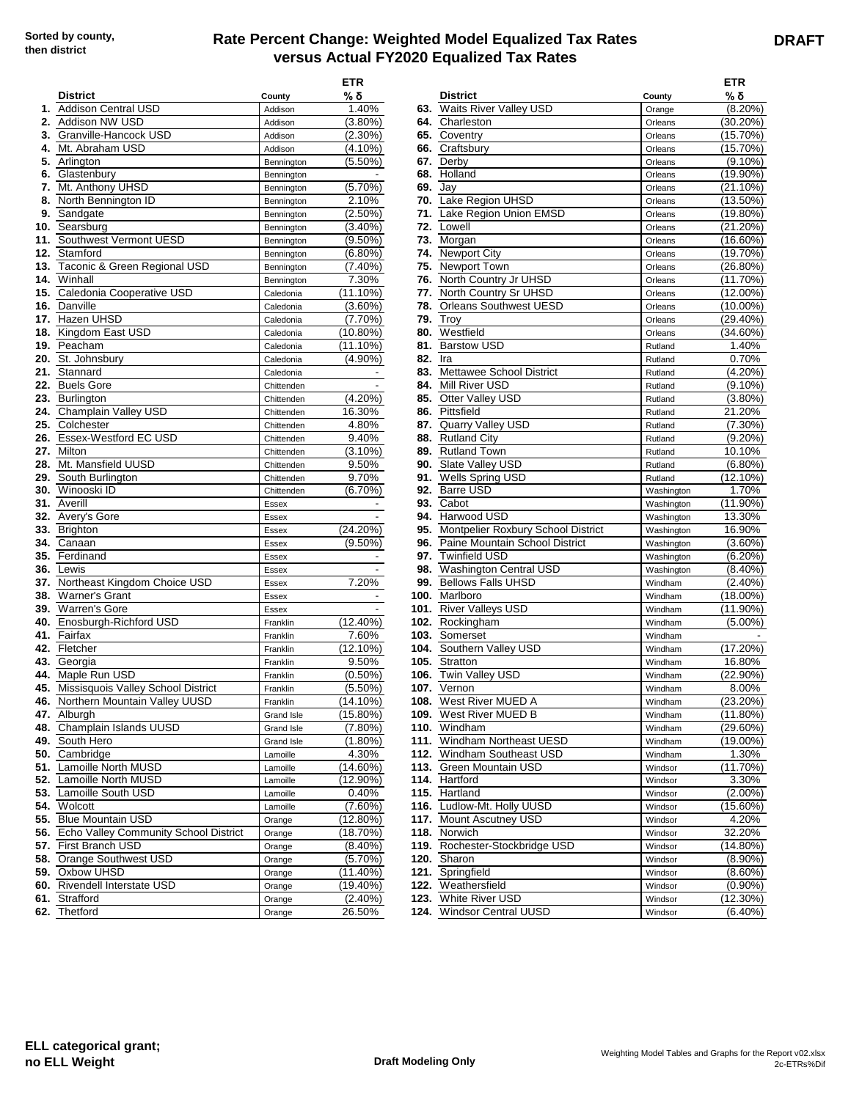## **Rate Percent Change: Weighted Model Equalized Tax Rates versus Actual FY2020 Equalized Tax Rates**

|    | <b>District</b>                           | County            | <b>ETR</b><br>% δ                   |            | <b>District</b>                            | County                   | ETR<br>% δ               |
|----|-------------------------------------------|-------------------|-------------------------------------|------------|--------------------------------------------|--------------------------|--------------------------|
|    | 1. Addison Central USD                    | Addison           | 1.40%                               |            | 63. Waits River Valley USD                 | Orange                   | $(8.20\%)$               |
| 2. | Addison NW USD                            | Addison           | $(3.80\%)$                          |            | 64. Charleston                             | Orleans                  | (30.20%)                 |
|    | 3. Granville-Hancock USD                  | Addison           | $(2.30\%)$                          | 65.        | Coventry                                   | Orleans                  | (15.70%)                 |
|    | 4. Mt. Abraham USD                        | Addison           | (4.10%)                             | 66.        | Craftsbury                                 | Orleans                  | (15.70%)                 |
|    | 5. Arlington                              | Bennington        | $(5.50\%)$                          | 67.        | Derby                                      | Orleans                  | $(9.10\%)$               |
|    | 6. Glastenbury                            | Bennington        |                                     | 68.        | Holland                                    | Orleans                  | (19.90%)                 |
|    | 7. Mt. Anthony UHSD                       | Bennington        | (5.70%)                             | 69.        | Jay                                        | Orleans                  | (21.10%)                 |
|    | 8. North Bennington ID                    | Bennington        | 2.10%                               | 70.        | Lake Region UHSD                           | Orleans                  | $(13.50\%)$              |
|    | 9. Sandgate                               | Bennington        | (2.50%)                             | 71.        | Lake Region Union EMSD                     | Orleans                  | $(19.80\%)$              |
|    | 10. Searsburg                             | Bennington        | $(3.40\%)$                          | 72.        | Lowell                                     | Orleans                  | (21.20%)                 |
|    | 11. Southwest Vermont UESD                | Bennington        | $(9.50\%)$                          | 73.        | Morgan                                     | Orleans                  | $(16.60\%)$              |
|    | 12. Stamford                              | Bennington        | $(6.80\%)$                          | 74.        | <b>Newport City</b>                        | Orleans                  | $(19.70\%)$              |
|    | 13. Taconic & Green Regional USD          | Bennington        | (7.40%)                             | 75.        | Newport Town                               | Orleans                  | (26.80%)                 |
|    | 14. Winhall                               | Bennington        | 7.30%                               | 76.        | North Country Jr UHSD                      | Orleans                  | $(11.70\%)$              |
|    | 15. Caledonia Cooperative USD             | Caledonia         | $(11.10\%)$                         | 77.        | North Country Sr UHSD                      | Orleans                  | $(12.00\%)$              |
|    | 16. Danville                              | Caledonia         | $(3.60\%)$                          | 78.        | <b>Orleans Southwest UESD</b>              | Orleans                  | $(10.00\%)$              |
|    | 17. Hazen UHSD                            | Caledonia         | $(7.70\%)$                          | 79.        | Troy                                       | Orleans                  | $(29.40\%)$              |
|    | 18. Kingdom East USD                      | Caledonia         | (10.80%)                            | 80.        | Westfield                                  | Orleans                  | (34.60%)                 |
|    | 19. Peacham                               | Caledonia         | $(11.10\%)$                         |            | 81. Barstow USD                            | Rutland                  | 1.40%                    |
|    | 20. St. Johnsbury<br>21. Stannard         | Caledonia         | (4.90%)                             | 82.<br>83. | Ira<br>Mettawee School District            | Rutland                  | 0.70%<br>$(4.20\%)$      |
|    |                                           | Caledonia         |                                     |            |                                            | Rutland                  |                          |
|    | 22. Buels Gore                            | Chittenden        | $\overline{\phantom{a}}$            | 84.        | Mill River USD                             | Rutland                  | $(9.10\%)$               |
|    | 23. Burlington                            | Chittenden        | (4.20%)                             | 85.        | Otter Valley USD                           | Rutland                  | $(3.80\%)$               |
|    | 24. Champlain Valley USD                  | Chittenden        | 16.30%                              | 86.        | Pittsfield                                 | Rutland                  | 21.20%                   |
|    | 25. Colchester                            | Chittenden        | 4.80%                               | 87.        | Quarry Valley USD                          | Rutland                  | $(7.30\%)$               |
|    | 26. Essex-Westford EC USD<br>27. Milton   | Chittenden        | 9.40%                               | 88.<br>89. | <b>Rutland City</b><br><b>Rutland Town</b> | Rutland                  | $(9.20\%)$<br>10.10%     |
|    | 28. Mt. Mansfield UUSD                    | Chittenden        | (3.10%)<br>9.50%                    | 90.        | Slate Valley USD                           | Rutland                  | $(6.80\%)$               |
|    |                                           | Chittenden        | 9.70%                               | 91.        | Wells Spring USD                           | Rutland                  |                          |
|    | 29. South Burlington                      | Chittenden        |                                     | 92.        | <b>Barre USD</b>                           | Rutland                  | (12.10%)                 |
|    | <b>30.</b> Winooski ID<br>31. Averill     | Chittenden        | (6.70%)<br>$\overline{\phantom{a}}$ | 93.        | Cabot                                      | Washington               | 1.70%<br>$(11.90\%)$     |
|    | 32. Avery's Gore                          | Essex<br>Essex    |                                     | 94.        | Harwood USD                                | Washington<br>Washington | 13.30%                   |
|    | 33. Brighton                              |                   | $(24.20\%)$                         |            | 95. Montpelier Roxbury School District     |                          | 16.90%                   |
|    | 34. Canaan                                | Essex<br>Essex    | $(9.50\%)$                          | 96.        | Paine Mountain School District             | Washington<br>Washington | $(3.60\%)$               |
|    | 35. Ferdinand                             | Essex             | $\overline{\phantom{a}}$            | 97.        | <b>Twinfield USD</b>                       |                          | $(6.20\%)$               |
|    | <b>36.</b> Lewis                          | Essex             |                                     | 98.        | <b>Washington Central USD</b>              | Washington<br>Washington | $(8.40\%)$               |
|    | 37. Northeast Kingdom Choice USD          | Essex             | 7.20%                               | 99.        | <b>Bellows Falls UHSD</b>                  | Windham                  | $(2.40\%)$               |
|    | 38. Warner's Grant                        | Essex             |                                     |            | 100. Marlboro                              | Windham                  | $(18.00\%)$              |
|    | 39. Warren's Gore                         | Essex             |                                     | 101.       | <b>River Valleys USD</b>                   | Windham                  | $(11.90\%)$              |
|    | 40. Enosburgh-Richford USD                | Franklin          | $(12.40\%)$                         |            | 102. Rockingham                            | Windham                  | $(5.00\%)$               |
|    | 41. Fairfax                               | Franklin          | 7.60%                               | 103.       | Somerset                                   | Windham                  | $\overline{\phantom{a}}$ |
|    | 42. Fletcher                              | Franklin          | $(12.10\%)$                         | 104.       | Southern Valley USD                        | Windham                  | (17.20%)                 |
|    | 43. Georgia                               | Franklin          | 9.50%                               |            | 105. Stratton                              | Windham                  | 16.80%                   |
|    | 44. Maple Run USD                         | Franklin          | $(0.50\%)$                          |            | 106. Twin Valley USD                       | Windham                  | (22.90%)                 |
|    | 45. Missisquois Valley School District    | Franklin          | $(5.50\%)$                          |            | 107. Vernon                                | Windham                  | 8.00%                    |
|    | 46. Northern Mountain Valley UUSD         | Franklin          | (14.10%)                            |            | 108. West River MUED A                     | Windham                  | $(23.20\%)$              |
|    | 47. Alburgh                               | Grand Isle        | $(15.80\%)$                         |            | 109. West River MUED B                     | Windham                  | $(11.80\%)$              |
|    | 48. Champlain Islands UUSD                | <b>Grand Isle</b> | $(7.80\%)$                          |            | 110. Windham                               | Windham                  | $(29.60\%)$              |
|    | 49. South Hero                            | Grand Isle        | (1.80%)                             |            | 111. Windham Northeast UESD                | Windham                  | (19.00%)                 |
|    | 50. Cambridge                             | Lamoille          | 4.30%                               |            | 112. Windham Southeast USD                 | Windham                  | 1.30%                    |
|    | 51. Lamoille North MUSD                   | Lamoille          | $(14.60\%)$                         |            | 113. Green Mountain USD                    | Windsor                  | (11.70%)                 |
|    | 52. Lamoille North MUSD                   | Lamoille          | $(12.90\%)$                         |            | 114. Hartford                              | Windsor                  | 3.30%                    |
|    | 53. Lamoille South USD                    | Lamoille          | 0.40%                               |            | 115. Hartland                              | Windsor                  | $(2.00\%)$               |
|    | 54. Wolcott                               | Lamoille          | $(7.60\%)$                          |            | 116. Ludlow-Mt. Holly UUSD                 | Windsor                  | $(15.60\%)$              |
|    | 55. Blue Mountain USD                     | Orange            | $(12.80\%)$                         |            | 117. Mount Ascutney USD                    | Windsor                  | 4.20%                    |
|    | 56. Echo Valley Community School District | Orange            | (18.70%)                            |            | 118. Norwich                               | Windsor                  | 32.20%                   |
|    | 57. First Branch USD                      | Orange            | $(8.40\%)$                          |            | 119. Rochester-Stockbridge USD             | Windsor                  | $(14.80\%)$              |
|    | 58. Orange Southwest USD                  | Orange            | $(5.70\%)$                          |            | 120. Sharon                                | Windsor                  | $(8.90\%)$               |
|    | 59. Oxbow UHSD                            | Orange            | (11.40%)                            |            | 121. Springfield                           | Windsor                  | $(8.60\%)$               |
|    | 60. Rivendell Interstate USD              | Orange            | (19.40%)                            |            | 122. Weathersfield                         | Windsor                  | $(0.90\%)$               |
|    | 61. Strafford                             | Orange            | $(2.40\%)$                          |            | 123. White River USD                       | Windsor                  | (12.30%)                 |
|    | 62. Thetford                              | Orange            | 26.50%                              |            | 124. Windsor Central UUSD                  | Windsor                  | $(6.40\%)$               |
|    |                                           |                   |                                     |            |                                            |                          |                          |

| ETR                      |         |                                         |                    | ETR                        |
|--------------------------|---------|-----------------------------------------|--------------------|----------------------------|
| % <u>δ</u>               |         | <b>District</b>                         | County             | % δ                        |
| 1.40%                    |         | 63. Waits River Valley USD              | Orange             | $(8.20\%)$                 |
| $(3.80\%)$               |         | 64. Charleston                          | Orleans            | (30.20%)                   |
| $(2.30\%)$               |         | 65. Coventry                            | Orleans            | (15.70%)                   |
| $(4.10\%)$               |         | 66. Craftsbury                          | Orleans            | (15.70%)                   |
| $(5.50\%)$               |         | 67. Derby                               | Orleans            | $(9.10\%)$                 |
|                          |         | 68. Holland                             | Orleans            | (19.90%)                   |
| $(5.70\%)$               |         | 69. Jay                                 | Orleans            | (21.10%)                   |
| 2.10%                    |         | 70. Lake Region UHSD                    | Orleans            | (13.50%)                   |
| $(2.50\%)$               |         | 71. Lake Region Union EMSD              | Orleans            | (19.80%)                   |
| $(3.40\%)$               |         | 72. Lowell                              | Orleans            | (21.20%)                   |
| $(9.50\%)$               |         | 73. Morgan                              | Orleans            | (16.60%)                   |
| $(6.80\%)$               |         | 74. Newport City                        | Orleans            | (19.70%)                   |
| $(7.40\%)$               |         | 75. Newport Town                        | Orleans            | (26.80%)                   |
| 7.30%                    |         | 76. North Country Jr UHSD               | Orleans            | (11.70%)                   |
| 11.10%)                  |         | 77. North Country Sr UHSD               | Orleans            | $(12.00\%)$                |
| $(3.60\%)$               |         | 78. Orleans Southwest UESD              | Orleans            | $(10.00\%)$                |
| $(7.70\%)$               |         | <b>79. Troy</b>                         | Orleans            | (29.40%)                   |
| 10.80%)                  |         | 80. Westfield                           | Orleans            | (34.60%)                   |
| 11.10%                   |         | 81. Barstow USD                         | Rutland            | 1.40%                      |
| $(4.90\%)$               | 82. Ira |                                         | Rutland            | 0.70%                      |
|                          |         | 83. Mettawee School District            | Rutland            | $(4.20\%)$                 |
|                          |         | 84. Mill River USD                      | Rutland            | (9.10%)                    |
| $(4.20\%)$               |         | 85. Otter Valley USD                    | Rutland            | $(3.80\%)$                 |
| 16.30%                   |         | 86. Pittsfield                          | Rutland            | 21.20%                     |
| 4.80%                    |         | 87. Quarry Valley USD                   | Rutland            | $(7.30\%)$                 |
| 9.40%                    |         | 88. Rutland City                        | Rutland            | $(9.20\%)$                 |
| $(3.10\%)$               |         | 89. Rutland Town                        | Rutland            | 10.10%                     |
| 9.50%                    |         | 90. Slate Valley USD                    | Rutland            | $(6.80\%)$                 |
| 9.70%                    |         | 91. Wells Spring USD                    | Rutland            | (12.10%)                   |
| $(6.70\%)$               |         | 92. Barre USD                           | Washington         | 1.70%                      |
| ٠                        |         | 93. Cabot                               | Washington         | $(11.90\%)$                |
| $\overline{\phantom{a}}$ |         | 94. Harwood USD                         | Washington         | 13.30%                     |
| 24.20%)                  |         | 95. Montpelier Roxbury School District  | Washington         | 16.90%                     |
| $(9.50\%)$               |         | 96. Paine Mountain School District      | Washington         | $(3.60\%)$                 |
|                          |         | 97. Twinfield USD                       | Washington         | $(6.20\%)$                 |
|                          |         | 98. Washington Central USD              | Washington         | $(8.40\%)$                 |
| 7.20%                    |         | 99. Bellows Falls UHSD                  | Windham            | $(2.40\%)$                 |
| ۰                        |         | 100. Marlboro                           | Windham            | (18.00%)                   |
|                          |         | 101. River Valleys USD                  | Windham            | (11.90%)                   |
| 12.40%)                  |         | 102. Rockingham                         | Windham            | $(5.00\%)$                 |
| 7.60%                    |         | 103. Somerset                           | Windham            |                            |
| 12.10%)                  |         | 104. Southern Valley USD                | Windham            | (17.20%)                   |
| 9.50%                    |         | 105. Stratton<br><b>Twin Valley USD</b> | Windham            | 16.80%                     |
| $(0.50\%)$<br>$(5.50\%)$ | 106.    | 107. Vernon                             | Windham            | (22.90%)<br>8.00%          |
| 14.10%)                  |         | <b>108.</b> West River MUED A           | Windham            |                            |
| 15.80%)                  |         | 109. West River MUED B                  | Windham            | $(23.20\%)$<br>$(11.80\%)$ |
| $(7.80\%)$               |         | 110. Windham                            | Windham<br>Windham | (29.60%)                   |
| $(1.80\%)$               |         | 111. Windham Northeast UESD             | Windham            | (19.00%)                   |
| 4.30%                    |         | 112. Windham Southeast USD              | Windham            | 1.30%                      |
| 14.60%)                  |         | 113. Green Mountain USD                 | Windsor            | (11.70%)                   |
| 12.90%)                  |         | 114. Hartford                           | Windsor            | 3.30%                      |
| 0.40%                    |         | 115. Hartland                           | Windsor            | $(2.00\%)$                 |
| $(7.60\%)$               |         | 116. Ludlow-Mt. Holly UUSD              | Windsor            | (15.60%)                   |
| 12.80%)                  |         | 117. Mount Ascutney USD                 | Windsor            | 4.20%                      |
| 18.70%)                  |         | 118. Norwich                            | Windsor            | 32.20%                     |
| $(8.40\%)$               |         | 119. Rochester-Stockbridge USD          | Windsor            | (14.80%)                   |
| $(5.70\%)$               |         | <b>120.</b> Sharon                      | Windsor            | $(8.90\%)$                 |
| 11.40%)                  |         | 121. Springfield                        | Windsor            | $(8.60\%)$                 |
| 19.40%)                  |         | 122. Weathersfield                      | Windsor            | $(0.90\%)$                 |
| $(2.40\%)$               |         | 123. White River USD                    | Windsor            | (12.30%)                   |
| 26.50%                   |         | 124. Windsor Central UUSD               | Windsor            | $(6.40\%)$                 |
|                          |         |                                         |                    |                            |